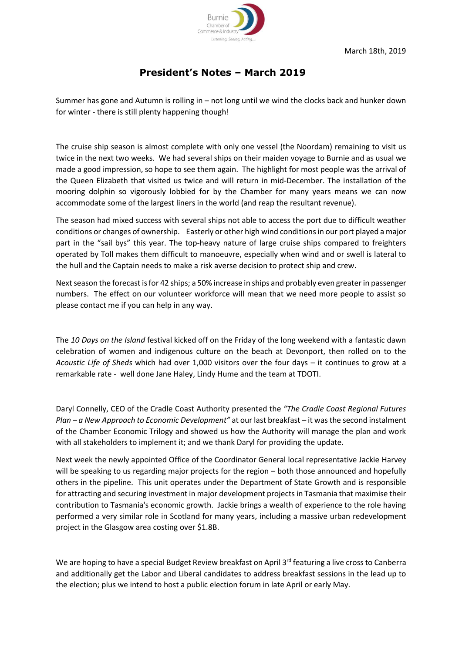

## **President's Notes – March 2019**

Summer has gone and Autumn is rolling in – not long until we wind the clocks back and hunker down for winter - there is still plenty happening though!

The cruise ship season is almost complete with only one vessel (the Noordam) remaining to visit us twice in the next two weeks. We had several ships on their maiden voyage to Burnie and as usual we made a good impression, so hope to see them again. The highlight for most people was the arrival of the Queen Elizabeth that visited us twice and will return in mid-December. The installation of the mooring dolphin so vigorously lobbied for by the Chamber for many years means we can now accommodate some of the largest liners in the world (and reap the resultant revenue).

The season had mixed success with several ships not able to access the port due to difficult weather conditions or changes of ownership. Easterly or other high wind conditionsin our port played a major part in the "sail bys" this year. The top-heavy nature of large cruise ships compared to freighters operated by Toll makes them difficult to manoeuvre, especially when wind and or swell is lateral to the hull and the Captain needs to make a risk averse decision to protect ship and crew.

Next season the forecast is for 42 ships; a 50% increase in ships and probably even greater in passenger numbers. The effect on our volunteer workforce will mean that we need more people to assist so please contact me if you can help in any way.

The *10 Days on the Island* festival kicked off on the Friday of the long weekend with a fantastic dawn celebration of women and indigenous culture on the beach at Devonport, then rolled on to the *Acoustic Life of Sheds* which had over 1,000 visitors over the four days – it continues to grow at a remarkable rate - well done Jane Haley, Lindy Hume and the team at TDOTI.

Daryl Connelly, CEO of the Cradle Coast Authority presented the *"The Cradle Coast Regional Futures Plan – a New Approach to Economic Development"* at our last breakfast – it was the second instalment of the Chamber Economic Trilogy and showed us how the Authority will manage the plan and work with all stakeholders to implement it; and we thank Daryl for providing the update.

Next week the newly appointed Office of the Coordinator General local representative Jackie Harvey will be speaking to us regarding major projects for the region – both those announced and hopefully others in the pipeline. This unit operates under the Department of State Growth and is responsible for attracting and securing investment in major development projects in Tasmania that maximise their contribution to Tasmania's economic growth. Jackie brings a wealth of experience to the role having performed a very similar role in Scotland for many years, including a massive urban redevelopment project in the Glasgow area costing over \$1.8B.

We are hoping to have a special Budget Review breakfast on April 3<sup>rd</sup> featuring a live cross to Canberra and additionally get the Labor and Liberal candidates to address breakfast sessions in the lead up to the election; plus we intend to host a public election forum in late April or early May.